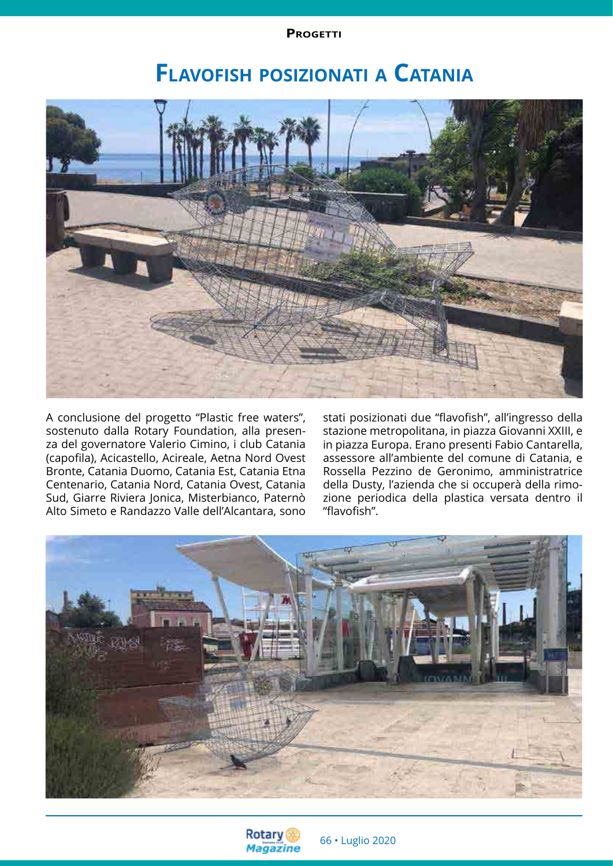**PROGETTI** 

# **Flavofish posizionati <sup>a</sup> Catania**



A conclusione del progetto "Plastic free waters", sostenuto dalla Rotary Foundation, alla presenza del governatore Valerio Cimino, i club Catania (capofila), Acicastello, Acireale, Aetna Nord Ovest Bronte, Catania Duomo, Catania Est, Catania Etna Centenario, Catania Nord, Catania Ovest, Catania Sud, Giarre Riviera Jonica, Misterbianco, Paternò Alto Simeto e Randazzo Valle dell'Alcantara, sono

stati posizionati due "flavofish", all'ingresso della stazione metropolitana, in piazza Giovanni XXIII, e in piazza Europa. Erano presenti Fabio Cantarella, assessore all'ambiente del comune di Catania, e Rossella Pezzino de Geronimo, amministratrice della Dusty, l'azienda che si occuperà della rimozione periodica della plastica versata dentro il "flavofish".



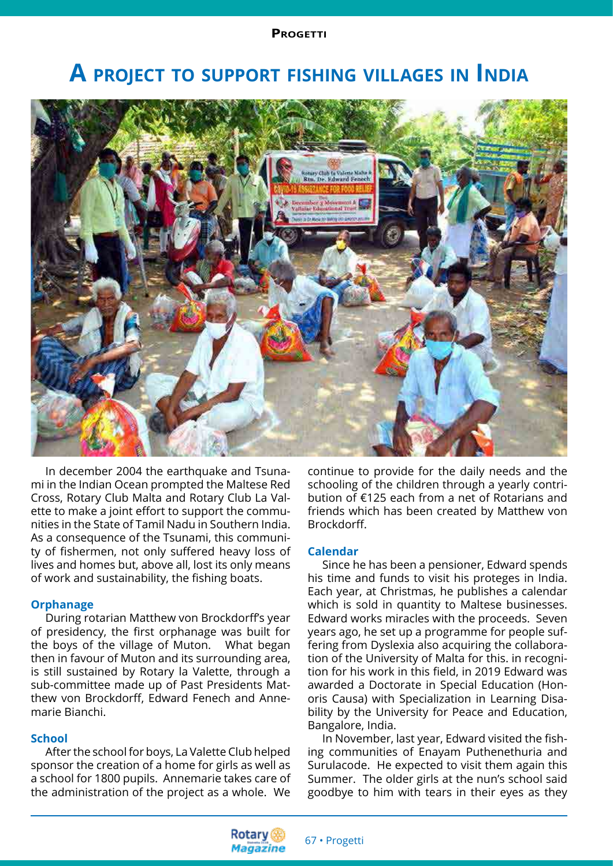## **A project to support fishing villages in India**



In december 2004 the earthquake and Tsunami in the Indian Ocean prompted the Maltese Red Cross, Rotary Club Malta and Rotary Club La Valette to make a joint effort to support the communities in the State of Tamil Nadu in Southern India. As a consequence of the Tsunami, this community of fishermen, not only suffered heavy loss of lives and homes but, above all, lost its only means of work and sustainability, the fishing boats.

#### **Orphanage**

During rotarian Matthew von Brockdorff's year of presidency, the first orphanage was built for the boys of the village of Muton. What began then in favour of Muton and its surrounding area, is still sustained by Rotary la Valette, through a sub-committee made up of Past Presidents Matthew von Brockdorff, Edward Fenech and Annemarie Bianchi.

#### **School**

After the school for boys, La Valette Club helped sponsor the creation of a home for girls as well as a school for 1800 pupils. Annemarie takes care of the administration of the project as a whole. We

continue to provide for the daily needs and the schooling of the children through a yearly contribution of €125 each from a net of Rotarians and friends which has been created by Matthew von Brockdorff.

#### **Calendar**

Since he has been a pensioner, Edward spends his time and funds to visit his proteges in India. Each year, at Christmas, he publishes a calendar which is sold in quantity to Maltese businesses. Edward works miracles with the proceeds. Seven years ago, he set up a programme for people suffering from Dyslexia also acquiring the collaboration of the University of Malta for this. in recognition for his work in this field, in 2019 Edward was awarded a Doctorate in Special Education (Honoris Causa) with Specialization in Learning Disability by the University for Peace and Education, Bangalore, India.

In November, last year, Edward visited the fishing communities of Enayam Puthenethuria and Surulacode. He expected to visit them again this Summer. The older girls at the nun's school said goodbye to him with tears in their eyes as they

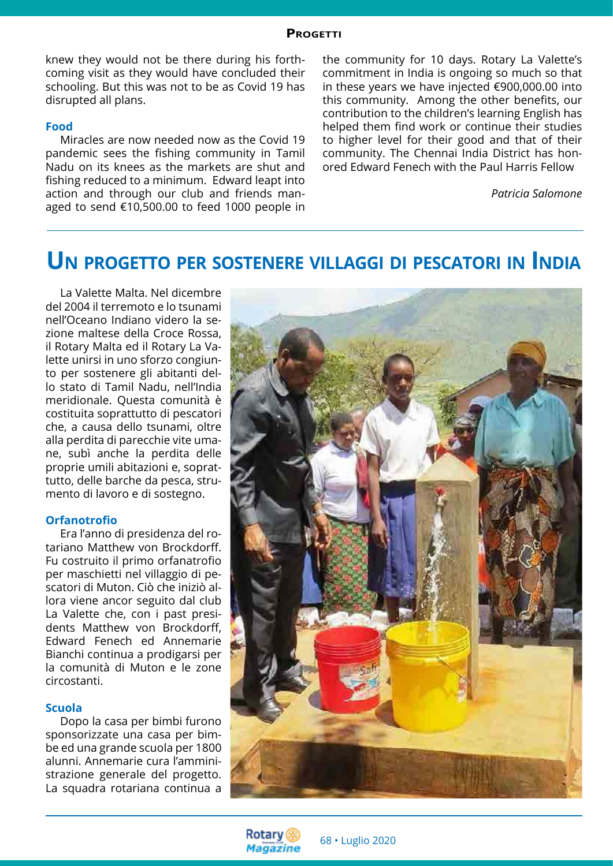#### **Progetti**

knew they would not be there during his forthcoming visit as they would have concluded their schooling. But this was not to be as Covid 19 has disrupted all plans.

#### **Food**

Miracles are now needed now as the Covid 19 pandemic sees the fishing community in Tamil Nadu on its knees as the markets are shut and fishing reduced to a minimum. Edward leapt into action and through our club and friends managed to send €10,500.00 to feed 1000 people in the community for 10 days. Rotary La Valette's commitment in India is ongoing so much so that in these years we have injected €900,000.00 into this community. Among the other benefits, our contribution to the children's learning English has helped them find work or continue their studies to higher level for their good and that of their community. The Chennai India District has honored Edward Fenech with the Paul Harris Fellow

*Patricia Salomone* 

### **Un progetto per sostenere villaggi di pescatori in India**

La Valette Malta. Nel dicembre del 2004 il terremoto e lo tsunami nell'Oceano Indiano videro la sezione maltese della Croce Rossa, il Rotary Malta ed il Rotary La Valette unirsi in uno sforzo congiunto per sostenere gli abitanti dello stato di Tamil Nadu, nell'India meridionale. Questa comunità è costituita soprattutto di pescatori che, a causa dello tsunami, oltre alla perdita di parecchie vite umane, subì anche la perdita delle proprie umili abitazioni e, soprattutto, delle barche da pesca, strumento di lavoro e di sostegno.

#### **Orfanotrofio**

Era l'anno di presidenza del rotariano Matthew von Brockdorff. Fu costruito il primo orfanatrofio per maschietti nel villaggio di pescatori di Muton. Ciò che iniziò allora viene ancor seguito dal club La Valette che, con i past presidents Matthew von Brockdorff, Edward Fenech ed Annemarie Bianchi continua a prodigarsi per la comunità di Muton e le zone circostanti.

#### **Scuola**

Dopo la casa per bimbi furono sponsorizzate una casa per bimbe ed una grande scuola per 1800 alunni. Annemarie cura l'amministrazione generale del progetto. La squadra rotariana continua a